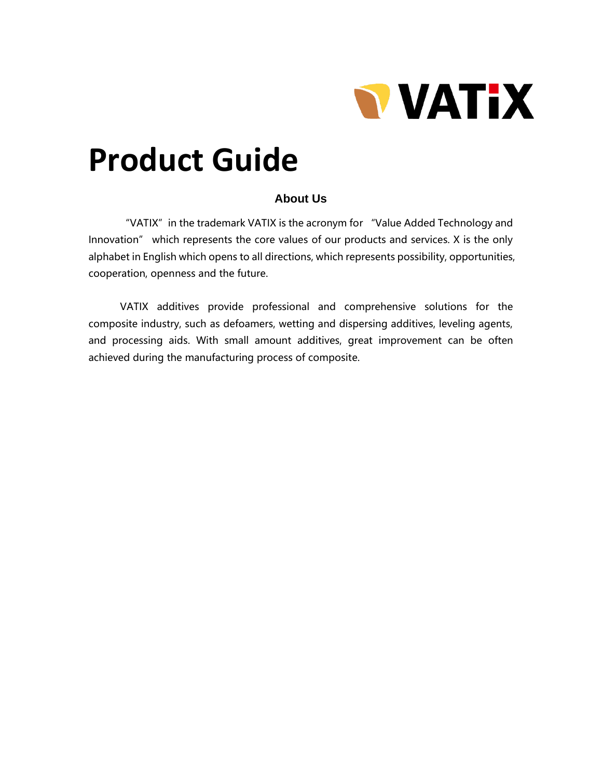

# **Product Guide**

#### **About Us**

"VATIX" in the trademark VATIX is the acronym for "Value Added Technology and Innovation" which represents the core values of our products and services. X is the only alphabet in English which opens to all directions, which represents possibility, opportunities, cooperation, openness and the future.

VATIX additives provide professional and comprehensive solutions for the composite industry, such as defoamers, wetting and dispersing additives, leveling agents, and processing aids. With small amount additives, great improvement can be often achieved during the manufacturing process of composite.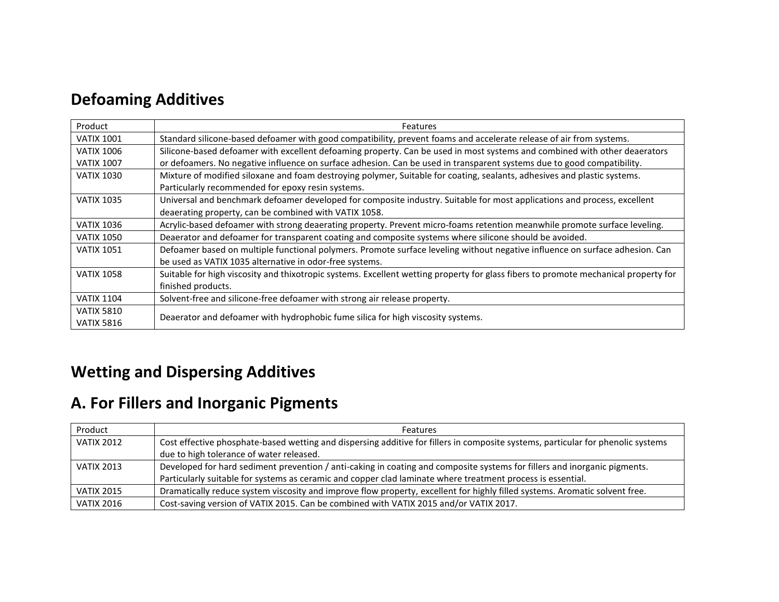## **Defoaming Additives**

| Product           | Features                                                                                                                            |  |  |
|-------------------|-------------------------------------------------------------------------------------------------------------------------------------|--|--|
| <b>VATIX 1001</b> | Standard silicone-based defoamer with good compatibility, prevent foams and accelerate release of air from systems.                 |  |  |
| <b>VATIX 1006</b> | Silicone-based defoamer with excellent defoaming property. Can be used in most systems and combined with other deaerators           |  |  |
| <b>VATIX 1007</b> | or defoamers. No negative influence on surface adhesion. Can be used in transparent systems due to good compatibility.              |  |  |
| <b>VATIX 1030</b> | Mixture of modified siloxane and foam destroying polymer, Suitable for coating, sealants, adhesives and plastic systems.            |  |  |
|                   | Particularly recommended for epoxy resin systems.                                                                                   |  |  |
| <b>VATIX 1035</b> | Universal and benchmark defoamer developed for composite industry. Suitable for most applications and process, excellent            |  |  |
|                   | deaerating property, can be combined with VATIX 1058.                                                                               |  |  |
| <b>VATIX 1036</b> | Acrylic-based defoamer with strong deaerating property. Prevent micro-foams retention meanwhile promote surface leveling.           |  |  |
| <b>VATIX 1050</b> | Deaerator and defoamer for transparent coating and composite systems where silicone should be avoided.                              |  |  |
| <b>VATIX 1051</b> | Defoamer based on multiple functional polymers. Promote surface leveling without negative influence on surface adhesion. Can        |  |  |
|                   | be used as VATIX 1035 alternative in odor-free systems.                                                                             |  |  |
| <b>VATIX 1058</b> | Suitable for high viscosity and thixotropic systems. Excellent wetting property for glass fibers to promote mechanical property for |  |  |
|                   | finished products.                                                                                                                  |  |  |
| <b>VATIX 1104</b> | Solvent-free and silicone-free defoamer with strong air release property.                                                           |  |  |
| <b>VATIX 5810</b> |                                                                                                                                     |  |  |
| <b>VATIX 5816</b> | Deaerator and defoamer with hydrophobic fume silica for high viscosity systems.                                                     |  |  |

# **Wetting and Dispersing Additives**

### **A. For Fillers and Inorganic Pigments**

| Product           | <b>Features</b>                                                                                                                  |  |  |
|-------------------|----------------------------------------------------------------------------------------------------------------------------------|--|--|
| <b>VATIX 2012</b> | Cost effective phosphate-based wetting and dispersing additive for fillers in composite systems, particular for phenolic systems |  |  |
|                   | due to high tolerance of water released.                                                                                         |  |  |
| <b>VATIX 2013</b> | Developed for hard sediment prevention / anti-caking in coating and composite systems for fillers and inorganic pigments.        |  |  |
|                   | Particularly suitable for systems as ceramic and copper clad laminate where treatment process is essential.                      |  |  |
| <b>VATIX 2015</b> | Dramatically reduce system viscosity and improve flow property, excellent for highly filled systems. Aromatic solvent free.      |  |  |
| <b>VATIX 2016</b> | Cost-saving version of VATIX 2015. Can be combined with VATIX 2015 and/or VATIX 2017.                                            |  |  |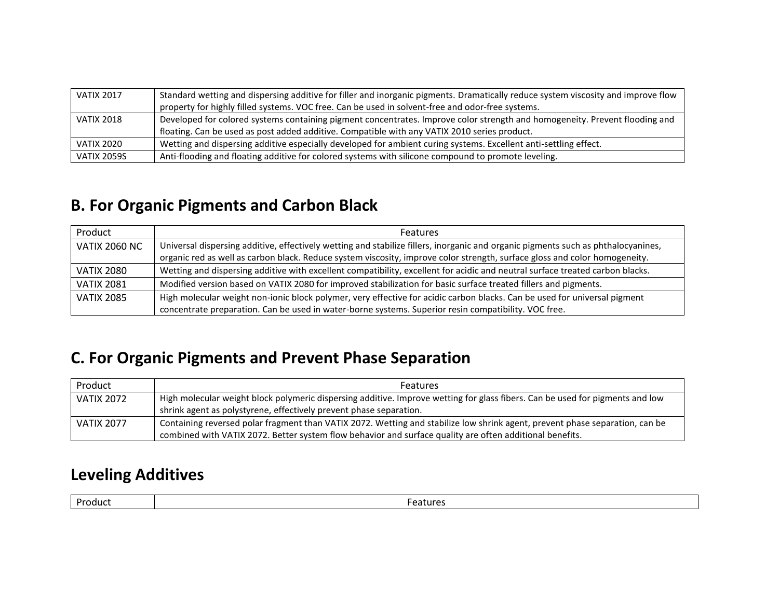| <b>VATIX 2017</b>  | Standard wetting and dispersing additive for filler and inorganic pigments. Dramatically reduce system viscosity and improve flow<br>property for highly filled systems. VOC free. Can be used in solvent-free and odor-free systems. |  |  |
|--------------------|---------------------------------------------------------------------------------------------------------------------------------------------------------------------------------------------------------------------------------------|--|--|
| <b>VATIX 2018</b>  | Developed for colored systems containing pigment concentrates. Improve color strength and homogeneity. Prevent flooding and                                                                                                           |  |  |
|                    | floating. Can be used as post added additive. Compatible with any VATIX 2010 series product.                                                                                                                                          |  |  |
| <b>VATIX 2020</b>  | Wetting and dispersing additive especially developed for ambient curing systems. Excellent anti-settling effect.                                                                                                                      |  |  |
| <b>VATIX 2059S</b> | Anti-flooding and floating additive for colored systems with silicone compound to promote leveling.                                                                                                                                   |  |  |

#### **B. For Organic Pigments and Carbon Black**

| Product              | <b>Features</b>                                                                                                                                                                                                                                                 |  |  |
|----------------------|-----------------------------------------------------------------------------------------------------------------------------------------------------------------------------------------------------------------------------------------------------------------|--|--|
| <b>VATIX 2060 NC</b> | Universal dispersing additive, effectively wetting and stabilize fillers, inorganic and organic pigments such as phthalocyanines,<br>organic red as well as carbon black. Reduce system viscosity, improve color strength, surface gloss and color homogeneity. |  |  |
| VATIX 2080           | Wetting and dispersing additive with excellent compatibility, excellent for acidic and neutral surface treated carbon blacks.                                                                                                                                   |  |  |
| <b>VATIX 2081</b>    | Modified version based on VATIX 2080 for improved stabilization for basic surface treated fillers and pigments.                                                                                                                                                 |  |  |
| <b>VATIX 2085</b>    | High molecular weight non-ionic block polymer, very effective for acidic carbon blacks. Can be used for universal pigment                                                                                                                                       |  |  |
|                      | concentrate preparation. Can be used in water-borne systems. Superior resin compatibility. VOC free.                                                                                                                                                            |  |  |

#### **C. For Organic Pigments and Prevent Phase Separation**

| Product           | <b>Features</b>                                                                                                               |  |  |
|-------------------|-------------------------------------------------------------------------------------------------------------------------------|--|--|
| <b>VATIX 2072</b> | High molecular weight block polymeric dispersing additive. Improve wetting for glass fibers. Can be used for pigments and low |  |  |
|                   | shrink agent as polystyrene, effectively prevent phase separation.                                                            |  |  |
| <b>VATIX 2077</b> | Containing reversed polar fragment than VATIX 2072. Wetting and stabilize low shrink agent, prevent phase separation, can be  |  |  |
|                   | combined with VATIX 2072. Better system flow behavior and surface quality are often additional benefits.                      |  |  |

#### **Leveling Additives**

| Dro<br>. | .<br>. |
|----------|--------|
|          |        |